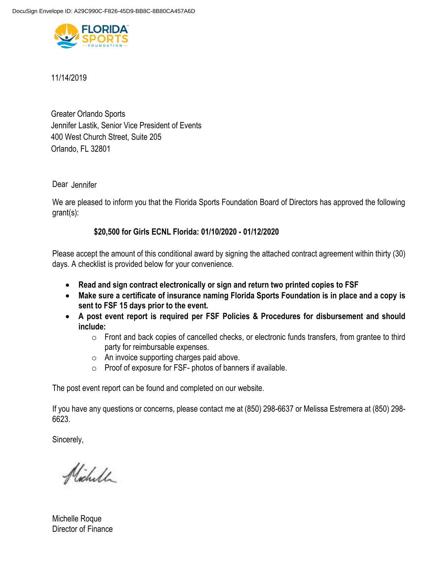

11/14/2019

Greater Orlando Sports Jennifer Lastik, Senior Vice President of Events 400 West Church Street, Suite 205 Orlando, FL 32801

Dear Jennifer

We are pleased to inform you that the Florida Sports Foundation Board of Directors has approved the following grant(s):

# **\$20,500 for Girls ECNL Florida: 01/10/2020 - 01/12/2020**

Please accept the amount of this conditional award by signing the attached contract agreement within thirty (30) days. A checklist is provided below for your convenience.

- **Read and sign contract electronically or sign and return two printed copies to FSF**
- **Make sure a certificate of insurance naming Florida Sports Foundation is in place and a copy is sent to FSF 15 days prior to the event.**
- **A post event report is required per FSF Policies & Procedures for disbursement and should include:** 
	- o Front and back copies of cancelled checks, or electronic funds transfers, from grantee to third party for reimbursable expenses.
	- o An invoice supporting charges paid above.
	- o Proof of exposure for FSF- photos of banners if available.

The post event report can be found and completed on our website.

If you have any questions or concerns, please contact me at (850) 298-6637 or Melissa Estremera at (850) 298- 6623.

Sincerely,

Nicholl

Michelle Roque Director of Finance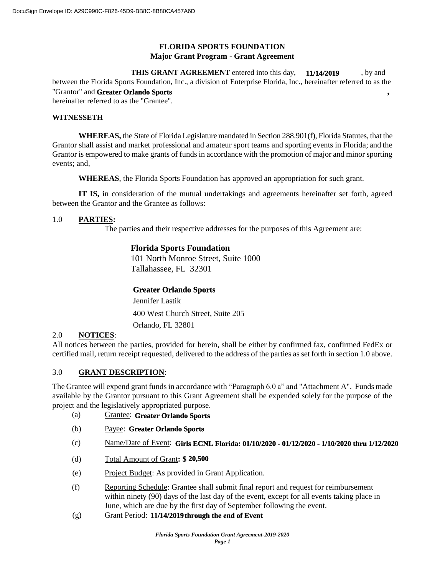## **FLORIDA SPORTS FOUNDATION Major Grant Program - Grant Agreement**

**THIS GRANT AGREEMENT** entered into this day, **11/14/2019**, by and between the Florida Sports Foundation, Inc., a division of Enterprise Florida, Inc., hereinafter referred to as the "Grantor" and Greater Orlando Sports **by the set of the set of the set of the set of the set of the set of the set of the set of the set of the set of the set of the set of the set of the set of the set of the set of the s** hereinafter referred to as the "Grantee". **11/14/2019**

#### **WITNESSETH**

**WHEREAS,** the State of Florida Legislature mandated in Section 288.901(f), Florida Statutes, that the Grantor shall assist and market professional and amateur sport teams and sporting events in Florida; and the Grantor is empowered to make grants of funds in accordance with the promotion of major and minor sporting events; and,

**WHEREAS**, the Florida Sports Foundation has approved an appropriation for such grant.

**IT IS,** in consideration of the mutual undertakings and agreements hereinafter set forth, agreed between the Grantor and the Grantee as follows:

### 1.0 **PARTIES:**

The parties and their respective addresses for the purposes of this Agreement are:

## **Florida Sports Foundation**

101 North Monroe Street, Suite 1000 Tallahassee, FL 32301

## **Greater Orlando Sports**

400 West Church Street, Suite 205 Jennifer Lastik Orlando, FL 32801

## 2.0 **NOTICES**:

All notices between the parties, provided for herein, shall be either by confirmed fax, confirmed FedEx or certified mail, return receipt requested, delivered to the address of the parties as set forth in section 1.0 above.

## 3.0 **GRANT DESCRIPTION**:

The Grantee will expend grant funds in accordance with "Paragraph 6.0 a" and "Attachment A". Funds made available by the Grantor pursuant to this Grant Agreement shall be expended solely for the purpose of the project and the legislatively appropriated purpose.

- (a) Grantee: **Greater Orlando Sports**
- (b) Payee: **Greater Orlando Sports**
- (c) Name/Date of Event: **Girls ECNL Florida: 01/10/2020 01/12/2020 1/10/2020 thru 1/12/2020**
- (d) Total Amount of Grant**: \$ 20,500**
- (e) Project Budget: As provided in Grant Application.
- (f) Reporting Schedule: Grantee shall submit final report and request for reimbursement within ninety (90) days of the last day of the event, except for all events taking place in June, which are due by the first day of September following the event.
- (g) Grant Period: **11/14/2019 through the end of Event**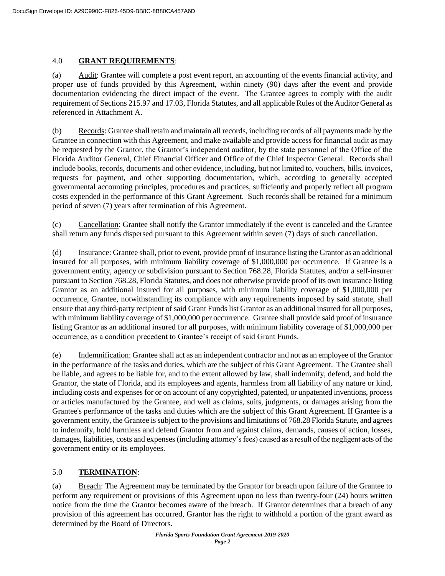## 4.0 **GRANT REQUIREMENTS**:

(a) Audit: Grantee will complete a post event report, an accounting of the events financial activity, and proper use of funds provided by this Agreement, within ninety (90) days after the event and provide documentation evidencing the direct impact of the event. The Grantee agrees to comply with the audit requirement of Sections 215.97 and 17.03, Florida Statutes, and all applicable Rules of the Auditor General as referenced in Attachment A.

(b) Records: Grantee shall retain and maintain all records, including records of all payments made by the Grantee in connection with this Agreement, and make available and provide access for financial audit as may be requested by the Grantor, the Grantor's independent auditor, by the state personnel of the Office of the Florida Auditor General, Chief Financial Officer and Office of the Chief Inspector General. Records shall include books, records, documents and other evidence, including, but not limited to, vouchers, bills, invoices, requests for payment, and other supporting documentation, which, according to generally accepted governmental accounting principles, procedures and practices, sufficiently and properly reflect all program costs expended in the performance of this Grant Agreement. Such records shall be retained for a minimum period of seven (7) years after termination of this Agreement.

(c) Cancellation: Grantee shall notify the Grantor immediately if the event is canceled and the Grantee shall return any funds dispersed pursuant to this Agreement within seven (7) days of such cancellation.

(d) Insurance: Grantee shall, prior to event, provide proof of insurance listing the Grantor as an additional insured for all purposes, with minimum liability coverage of \$1,000,000 per occurrence. If Grantee is a government entity, agency or subdivision pursuant to Section 768.28, Florida Statutes, and/or a self-insurer pursuant to Section 768.28, Florida Statutes, and does not otherwise provide proof of its own insurance listing Grantor as an additional insured for all purposes, with minimum liability coverage of \$1,000,000 per occurrence, Grantee, notwithstanding its compliance with any requirements imposed by said statute, shall ensure that any third-party recipient of said Grant Funds list Grantor as an additional insured for all purposes, with minimum liability coverage of \$1,000,000 per occurrence. Grantee shall provide said proof of insurance listing Grantor as an additional insured for all purposes, with minimum liability coverage of \$1,000,000 per occurrence, as a condition precedent to Grantee's receipt of said Grant Funds.

(e) Indemnification: Grantee shall act as an independent contractor and not as an employee of the Grantor in the performance of the tasks and duties, which are the subject of this Grant Agreement. The Grantee shall be liable, and agrees to be liable for, and to the extent allowed by law, shall indemnify, defend, and hold the Grantor, the state of Florida, and its employees and agents, harmless from all liability of any nature or kind, including costs and expenses for or on account of any copyrighted, patented, or unpatented inventions, process or articles manufactured by the Grantee, and well as claims, suits, judgments, or damages arising from the Grantee's performance of the tasks and duties which are the subject of this Grant Agreement. If Grantee is a government entity, the Grantee is subject to the provisions and limitations of 768.28 Florida Statute, and agrees to indemnify, hold harmless and defend Grantor from and against claims, demands, causes of action, losses, damages, liabilities, costs and expenses (including attorney's fees) caused as a result of the negligent acts of the government entity or its employees.

# 5.0 **TERMINATION**:

(a) Breach: The Agreement may be terminated by the Grantor for breach upon failure of the Grantee to perform any requirement or provisions of this Agreement upon no less than twenty-four (24) hours written notice from the time the Grantor becomes aware of the breach. If Grantor determines that a breach of any provision of this agreement has occurred, Grantor has the right to withhold a portion of the grant award as determined by the Board of Directors.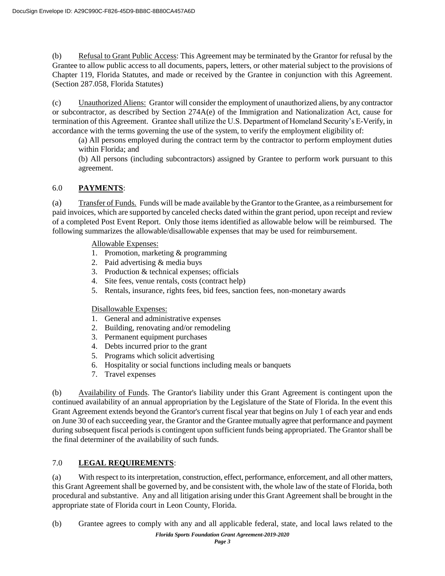(b) Refusal to Grant Public Access: This Agreement may be terminated by the Grantor for refusal by the Grantee to allow public access to all documents, papers, letters, or other material subject to the provisions of Chapter 119, Florida Statutes, and made or received by the Grantee in conjunction with this Agreement. (Section 287.058, Florida Statutes)

(c) Unauthorized Aliens: Grantor will consider the employment of unauthorized aliens, by any contractor or subcontractor, as described by Section 274A(e) of the Immigration and Nationalization Act, cause for termination of this Agreement. Grantee shall utilize the U.S. Department of Homeland Security's E-Verify, in accordance with the terms governing the use of the system, to verify the employment eligibility of:

(a) All persons employed during the contract term by the contractor to perform employment duties within Florida; and

(b) All persons (including subcontractors) assigned by Grantee to perform work pursuant to this agreement.

# 6.0 **PAYMENTS**:

(a) Transfer of Funds. Funds will be made available by the Grantor to the Grantee, as a reimbursement for paid invoices, which are supported by canceled checks dated within the grant period, upon receipt and review of a completed Post Event Report. Only those items identified as allowable below will be reimbursed. The following summarizes the allowable/disallowable expenses that may be used for reimbursement.

Allowable Expenses:

- 1. Promotion, marketing & programming
- 2. Paid advertising & media buys
- 3. Production & technical expenses; officials
- 4. Site fees, venue rentals, costs (contract help)
- 5. Rentals, insurance, rights fees, bid fees, sanction fees, non-monetary awards

## Disallowable Expenses:

- 1. General and administrative expenses
- 2. Building, renovating and/or remodeling
- 3. Permanent equipment purchases
- 4. Debts incurred prior to the grant
- 5. Programs which solicit advertising
- 6. Hospitality or social functions including meals or banquets
- 7. Travel expenses

(b) Availability of Funds. The Grantor's liability under this Grant Agreement is contingent upon the continued availability of an annual appropriation by the Legislature of the State of Florida. In the event this Grant Agreement extends beyond the Grantor's current fiscal year that begins on July 1 of each year and ends on June 30 of each succeeding year, the Grantor and the Grantee mutually agree that performance and payment during subsequent fiscal periods is contingent upon sufficient funds being appropriated. The Grantor shall be the final determiner of the availability of such funds.

# 7.0 **LEGAL REQUIREMENTS**:

(a) With respect to its interpretation, construction, effect, performance, enforcement, and all other matters, this Grant Agreement shall be governed by, and be consistent with, the whole law of the state of Florida, both procedural and substantive. Any and all litigation arising under this Grant Agreement shall be brought in the appropriate state of Florida court in Leon County, Florida.

(b) Grantee agrees to comply with any and all applicable federal, state, and local laws related to the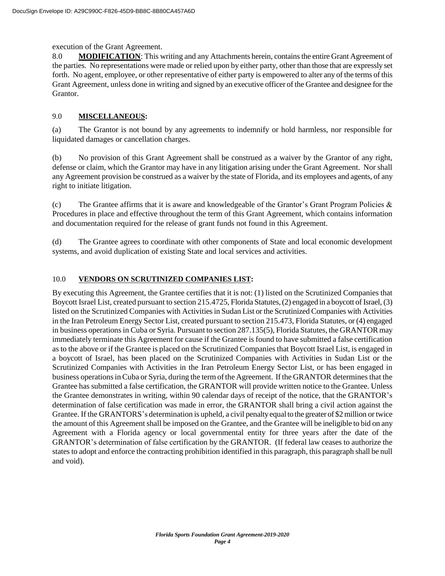#### execution of the Grant Agreement.

8.0 **MODIFICATION:** This writing and any Attachments herein, contains the entire Grant Agreement of the parties. No representations were made or relied upon by either party, other than those that are expressly set forth. No agent, employee, or other representative of either party is empowered to alter any of the terms of this Grant Agreement, unless done in writing and signed by an executive officer of the Grantee and designee for the Grantor.

## 9.0 **MISCELLANEOUS:**

(a) The Grantor is not bound by any agreements to indemnify or hold harmless, nor responsible for liquidated damages or cancellation charges.

(b) No provision of this Grant Agreement shall be construed as a waiver by the Grantor of any right, defense or claim, which the Grantor may have in any litigation arising under the Grant Agreement. Nor shall any Agreement provision be construed as a waiver by the state of Florida, and its employees and agents, of any right to initiate litigation.

(c) The Grantee affirms that it is aware and knowledgeable of the Grantor's Grant Program Policies  $\&$ Procedures in place and effective throughout the term of this Grant Agreement, which contains information and documentation required for the release of grant funds not found in this Agreement.

(d) The Grantee agrees to coordinate with other components of State and local economic development systems, and avoid duplication of existing State and local services and activities.

### 10.0 **VENDORS ON SCRUTINIZED COMPANIES LIST:**

By executing this Agreement, the Grantee certifies that it is not: (1) listed on the Scrutinized Companies that Boycott Israel List, created pursuant to section 215.4725, Florida Statutes, (2) engaged in a boycott of Israel, (3) listed on the Scrutinized Companies with Activities in Sudan List or the Scrutinized Companies with Activities in the Iran Petroleum Energy Sector List, created pursuant to section 215.473, Florida Statutes, or (4) engaged in business operations in Cuba or Syria. Pursuant to section 287.135(5), Florida Statutes, the GRANTOR may immediately terminate this Agreement for cause if the Grantee is found to have submitted a false certification as to the above or if the Grantee is placed on the Scrutinized Companies that Boycott Israel List, is engaged in a boycott of Israel, has been placed on the Scrutinized Companies with Activities in Sudan List or the Scrutinized Companies with Activities in the Iran Petroleum Energy Sector List, or has been engaged in business operationsin Cuba or Syria, during the term ofthe Agreement. Ifthe GRANTOR determines that the Grantee has submitted a false certification, the GRANTOR will provide written notice to the Grantee. Unless the Grantee demonstrates in writing, within 90 calendar days of receipt of the notice, that the GRANTOR's determination of false certification was made in error, the GRANTOR shall bring a civil action against the Grantee. If the GRANTORS's determination is upheld, a civil penalty equal to the greater of \$2 million or twice the amount of this Agreement shall be imposed on the Grantee, and the Grantee will be ineligible to bid on any Agreement with a Florida agency or local governmental entity for three years after the date of the GRANTOR's determination of false certification by the GRANTOR. (If federal law ceases to authorize the states to adopt and enforce the contracting prohibition identified in this paragraph, this paragraph shall be null and void).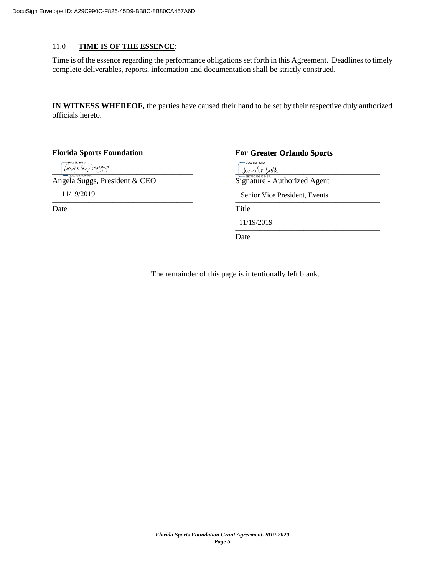#### 11.0 **TIME IS OF THE ESSENCE:**

Time is of the essence regarding the performance obligations set forth in this Agreement. Deadlines to timely complete deliverables, reports, information and documentation shall be strictly construed.

**IN WITNESS WHEREOF,** the parties have caused their hand to be set by their respective duly authorized officials hereto.

**Florida Sports Foundation** 

**Greater Orlando Sports** .<br>DocuSigned by:  $\frac{1}{2}$ unifur lastik $\frac{1}{2}$ Angela Suggs, President & CEO Signature - Authorized Agent 11/19/2019 Senior Vice President, Events Date Title 11/19/2019 \_\_\_\_\_\_\_\_\_\_\_\_\_\_\_\_\_\_\_\_\_\_\_\_\_\_\_\_\_\_\_\_\_\_\_\_ Date

The remainder of this page is intentionally left blank.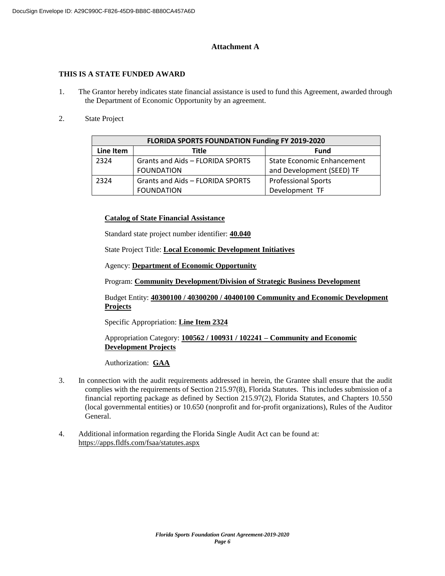### **Attachment A**

### **THIS IS A STATE FUNDED AWARD**

- 1. The Grantor hereby indicates state financial assistance is used to fund this Agreement, awarded through the Department of Economic Opportunity by an agreement.
- 2. State Project

| FLORIDA SPORTS FOUNDATION Funding FY 2019-2020 |                                  |                                   |  |  |  |  |  |  |  |
|------------------------------------------------|----------------------------------|-----------------------------------|--|--|--|--|--|--|--|
| Line Item                                      | Title                            | <b>Fund</b>                       |  |  |  |  |  |  |  |
| 2324                                           | Grants and Aids - FLORIDA SPORTS | <b>State Economic Enhancement</b> |  |  |  |  |  |  |  |
|                                                | <b>FOUNDATION</b>                | and Development (SEED) TF         |  |  |  |  |  |  |  |
| 2324                                           | Grants and Aids - FLORIDA SPORTS | <b>Professional Sports</b>        |  |  |  |  |  |  |  |
|                                                | <b>FOUNDATION</b>                | Development TF                    |  |  |  |  |  |  |  |

### **Catalog of State Financial Assistance**

Standard state project number identifier: **40.040** 

State Project Title: **Local Economic Development Initiatives**

Agency: **Department of Economic Opportunity**

Program: **Community Development/Division of Strategic Business Development**

Budget Entity: **40300100 / 40300200 / 40400100 Community and Economic Development Projects**

Specific Appropriation: **Line Item 2324**

Appropriation Category: **100562 / 100931 / 102241 – Community and Economic Development Projects**

Authorization:**GAA**

- 3. In connection with the audit requirements addressed in herein, the Grantee shall ensure that the audit complies with the requirements of Section 215.97(8), Florida Statutes. This includes submission of a financial reporting package as defined by Section 215.97(2), Florida Statutes, and Chapters 10.550 (local governmental entities) or 10.650 (nonprofit and for-profit organizations), Rules of the Auditor General.
- 4. Additional information regarding the Florida Single Audit Act can be found at: https://apps.fldfs.com/fsaa/statutes.aspx